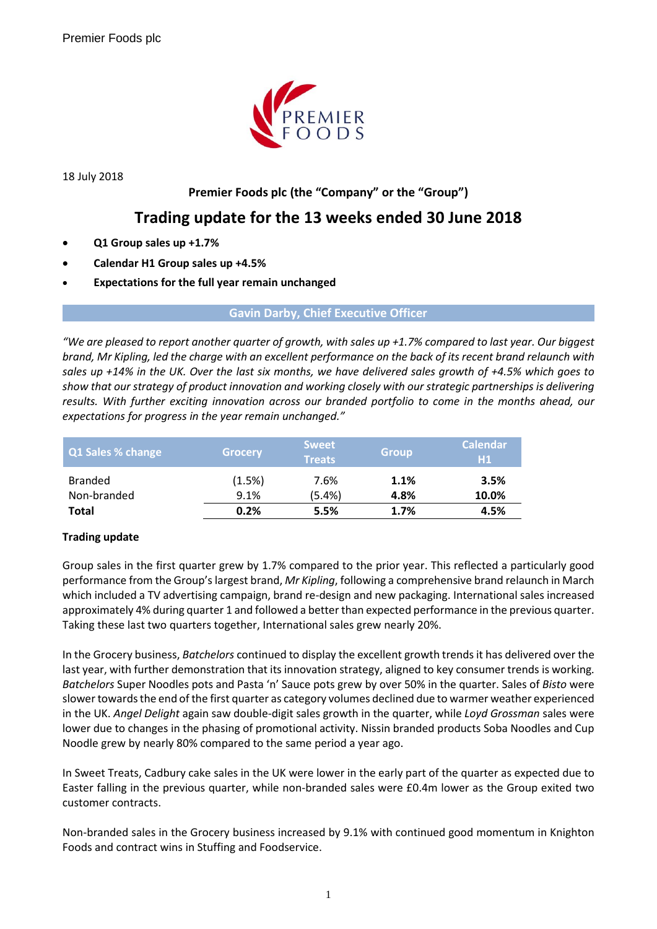

18 July 2018

# **Premier Foods plc (the "Company" or the "Group")**

# **Trading update for the 13 weeks ended 30 June 2018**

- **Q1 Group sales up +1.7%**
- **Calendar H1 Group sales up +4.5%**
- **Expectations for the full year remain unchanged**

**Gavin Darby, Chief Executive Officer**

*"We are pleased to report another quarter of growth, with sales up +1.7% compared to last year. Our biggest brand, Mr Kipling, led the charge with an excellent performance on the back of its recent brand relaunch with sales up +14% in the UK. Over the last six months, we have delivered sales growth of +4.5% which goes to show that our strategy of product innovation and working closely with our strategic partnerships is delivering results. With further exciting innovation across our branded portfolio to come in the months ahead, our expectations for progress in the year remain unchanged."*

| Q1 Sales % change             | <b>Grocery</b> | <b>Sweet</b><br><b>Treats</b> | <b>Group</b> | <b>Calendar</b><br>H1 |
|-------------------------------|----------------|-------------------------------|--------------|-----------------------|
| <b>Branded</b><br>Non-branded | (1.5%)<br>9.1% | 7.6%<br>$(5.4\%)$             | 1.1%<br>4.8% | 3.5%<br>10.0%         |
| <b>Total</b>                  | 0.2%           | 5.5%                          | 1.7%         | 4.5%                  |

## **Trading update**

Group sales in the first quarter grew by 1.7% compared to the prior year. This reflected a particularly good performance from the Group's largest brand, *Mr Kipling*, following a comprehensive brand relaunch in March which included a TV advertising campaign, brand re-design and new packaging. International sales increased approximately 4% during quarter 1 and followed a better than expected performance in the previous quarter. Taking these last two quarters together, International sales grew nearly 20%.

In the Grocery business, *Batchelors* continued to display the excellent growth trends it has delivered over the last year, with further demonstration that its innovation strategy, aligned to key consumer trends is working. *Batchelors* Super Noodles pots and Pasta 'n' Sauce pots grew by over 50% in the quarter. Sales of *Bisto* were slower towards the end of the first quarter as category volumes declined due to warmer weather experienced in the UK. *Angel Delight* again saw double-digit sales growth in the quarter, while *Loyd Grossman* sales were lower due to changes in the phasing of promotional activity. Nissin branded products Soba Noodles and Cup Noodle grew by nearly 80% compared to the same period a year ago.

In Sweet Treats, Cadbury cake sales in the UK were lower in the early part of the quarter as expected due to Easter falling in the previous quarter, while non-branded sales were £0.4m lower as the Group exited two customer contracts.

Non-branded sales in the Grocery business increased by 9.1% with continued good momentum in Knighton Foods and contract wins in Stuffing and Foodservice.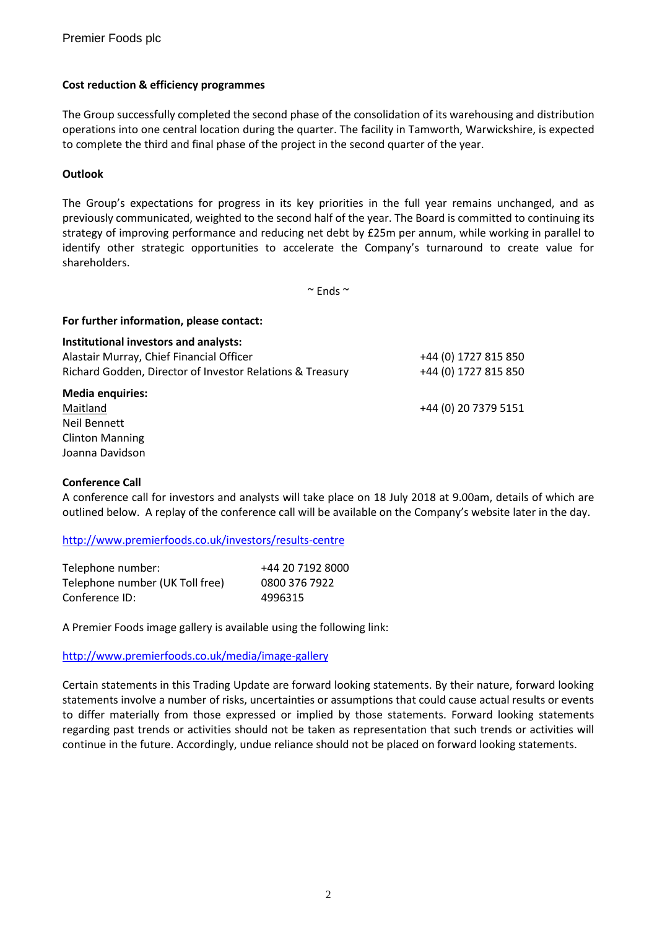### **Cost reduction & efficiency programmes**

**For further information, please contact:**

The Group successfully completed the second phase of the consolidation of its warehousing and distribution operations into one central location during the quarter. The facility in Tamworth, Warwickshire, is expected to complete the third and final phase of the project in the second quarter of the year.

### **Outlook**

The Group's expectations for progress in its key priorities in the full year remains unchanged, and as previously communicated, weighted to the second half of the year. The Board is committed to continuing its strategy of improving performance and reducing net debt by £25m per annum, while working in parallel to identify other strategic opportunities to accelerate the Company's turnaround to create value for shareholders.

 $\sim$  Ends  $\sim$ 

# **Institutional investors and analysts:** Alastair Murray, Chief Financial Officer +44 (0) 1727 815 850 Richard Godden, Director of Investor Relations & Treasury +44 (0) 1727 815 850 **Media enquiries:** Maitland +44 (0) 20 7379 5151 Neil Bennett Clinton Manning Joanna Davidson

#### **Conference Call**

A conference call for investors and analysts will take place on 18 July 2018 at 9.00am, details of which are outlined below. A replay of the conference call will be available on the Company's website later in the day.

<http://www.premierfoods.co.uk/investors/results-centre>

| Telephone number:               | +44 20 7192 8000 |
|---------------------------------|------------------|
| Telephone number (UK Toll free) | 0800 376 7922    |
| Conference ID:                  | 4996315          |

A Premier Foods image gallery is available using the following link:

#### <http://www.premierfoods.co.uk/media/image-gallery>

Certain statements in this Trading Update are forward looking statements. By their nature, forward looking statements involve a number of risks, uncertainties or assumptions that could cause actual results or events to differ materially from those expressed or implied by those statements. Forward looking statements regarding past trends or activities should not be taken as representation that such trends or activities will continue in the future. Accordingly, undue reliance should not be placed on forward looking statements.